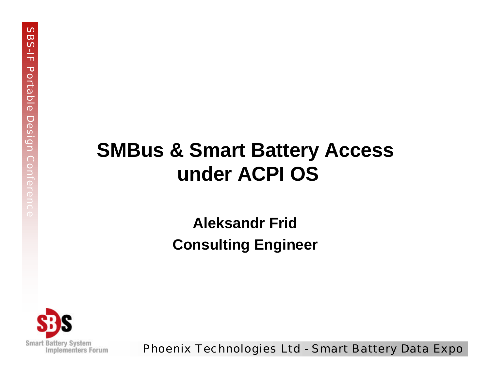#### **SMBus & Smart Battery Access under ACPI OS**

#### **Aleksandr Frid Consulting Engineer**

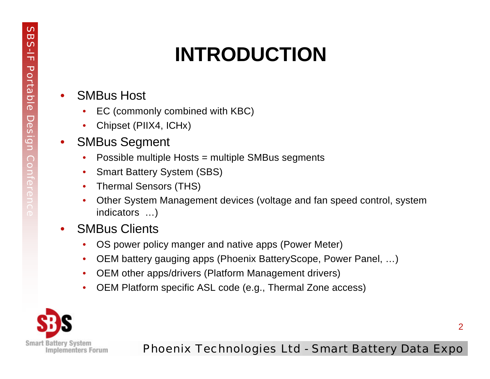# **INTRODUCTION**

- SMBus Host
	- EC (commonly combined with KBC)
	- Chipset (PIIX4, ICHx)
- SMBus Segment
	- Possible multiple Hosts = multiple SMBus segments
	- Smart Battery System (SBS)
	- Thermal Sensors (THS)
	- Other System Management devices (voltage and fan speed control, system indicators …)
- SMBus Clients
	- OS power policy manger and native apps (Power Meter)
	- OEM battery gauging apps (Phoenix BatteryScope, Power Panel, …)
	- OEM other apps/drivers (Platform Management drivers)
	- OEM Platform specific ASL code (e.g., Thermal Zone access)

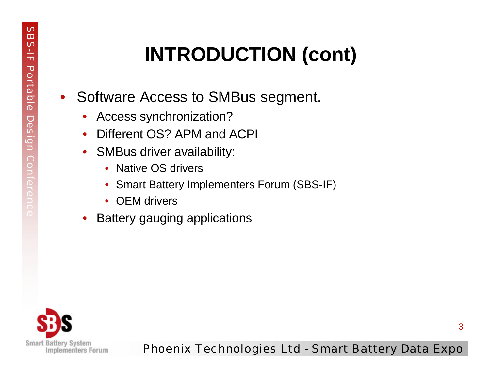# **INTRODUCTION (cont)**

- Software Access to SMBus segment.
	- Access synchronization?
	- Different OS? APM and ACPI
	- SMBus driver availability:
		- Native OS drivers
		- Smart Battery Implementers Forum (SBS-IF)
		- OEM drivers
	- Battery gauging applications

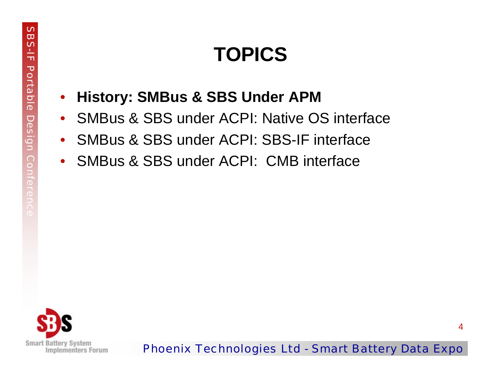- **History: SMBus & SBS Under APM**
- SMBus & SBS under ACPI: Native OS interface
- SMBus & SBS under ACPI: SBS-IF interface
- SMBus & SBS under ACPI: CMB interface

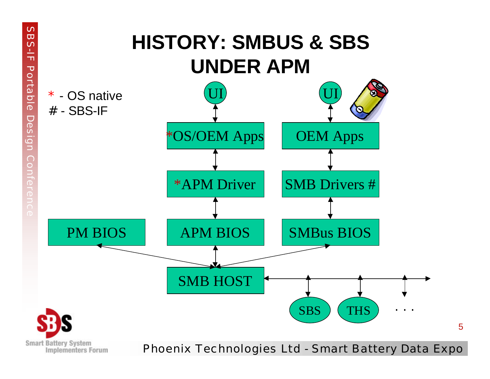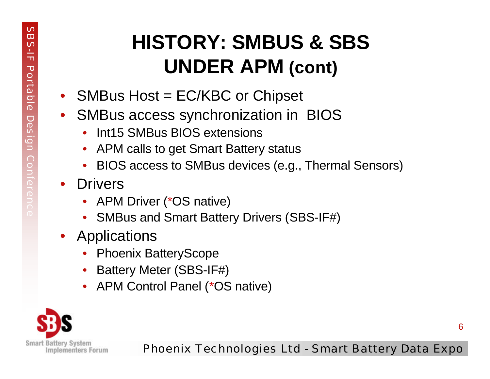## **HISTORY: SMBUS & SBS UNDER APM (cont)**

- SMBus Host = EC/KBC or Chipset
- SMBus access synchronization in BIOS
	- Int15 SMBus BIOS extensions
	- APM calls to get Smart Battery status
	- BIOS access to SMBus devices (e.g., Thermal Sensors)
- Drivers
	- APM Driver (\*OS native)
	- SMBus and Smart Battery Drivers (SBS-IF#)
- Applications
	- Phoenix BatteryScope
	- Battery Meter (SBS-IF#)
	- APM Control Panel (\*OS native)

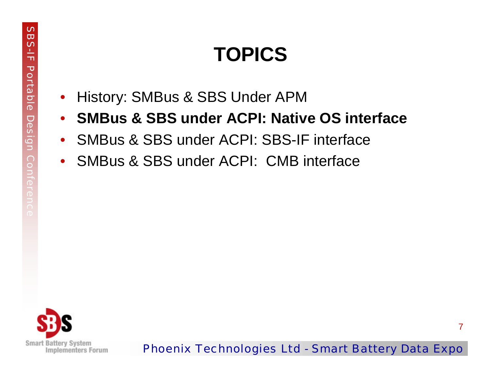- History: SMBus & SBS Under APM
- **SMBus & SBS under ACPI: Native OS interface**
- SMBus & SBS under ACPI: SBS-IF interface
- SMBus & SBS under ACPI: CMB interface



Phoenix Technologies Ltd - Smart Battery Data Expo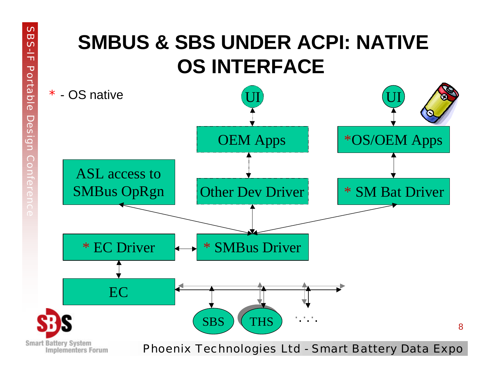#### **SMBUS & SBS UNDER ACPI: NATIVE OS INTERFACE**

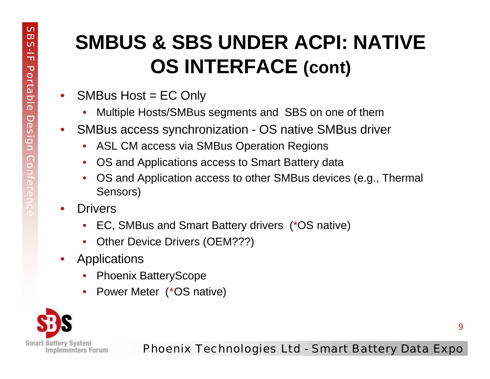#### **SMBUS & SBS UNDER ACPI: NATIVE OS INTERFACE (cont)**

- SMBus Host = EC Only
	- Multiple Hosts/SMBus segments and SBS on one of them
- SMBus access synchronization OS native SMBus driver
	- ASL CM access via SMBus Operation Regions
	- OS and Applications access to Smart Battery data
	- OS and Application access to other SMBus devices (e.g., Thermal Sensors)
- **Drivers** 
	- EC, SMBus and Smart Battery drivers (\*OS native)
	- Other Device Drivers (OEM???)
- **Applications** 
	- Phoenix BatteryScope
	- Power Meter (\*OS native)

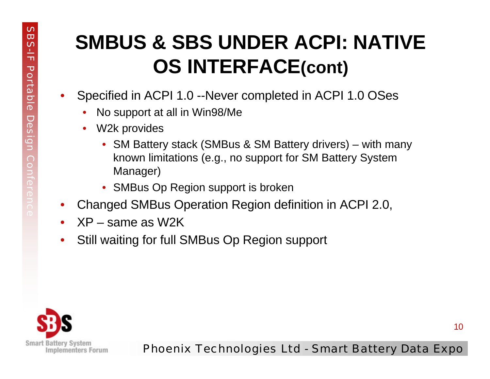#### **SMBUS & SBS UNDER ACPI: NATIVE OS INTERFACE(cont)**

- Specified in ACPI 1.0 --Never completed in ACPI 1.0 OSes
	- No support at all in Win98/Me
	- W2k provides
		- SM Battery stack (SMBus & SM Battery drivers) with many known limitations (e.g., no support for SM Battery System Manager)
		- SMBus Op Region support is broken
- Changed SMBus Operation Region definition in ACPI 2.0,
- XP same as W2K
- Still waiting for full SMBus Op Region support

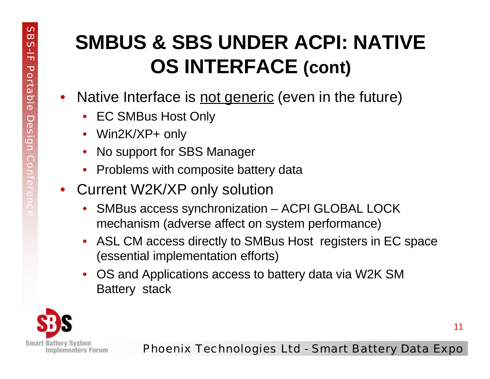### **SMBUS & SBS UNDER ACPI: NATIVE OS INTERFACE (cont)**

- Native Interface is not generic (even in the future)
	- EC SMBus Host Only
	- Win2K/XP+ only
	- No support for SBS Manager
	- Problems with composite battery data
- Current W2K/XP only solution
	- SMBus access synchronization ACPI GLOBAL LOCK mechanism (adverse affect on system performance)
	- ASL CM access directly to SMBus Host registers in EC space (essential implementation efforts)
	- OS and Applications access to battery data via W2K SM Battery stack



Phoenix Technologies Ltd - Smart Battery Data Expo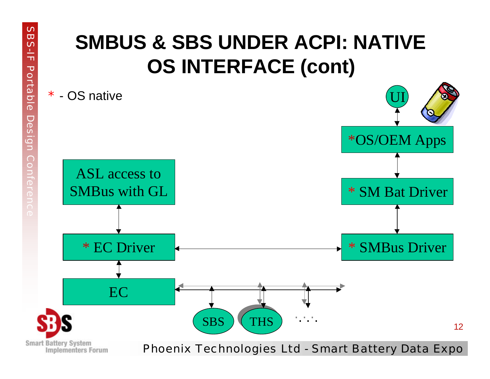#### **SMBUS & SBS UNDER ACPI: NATIVE OS INTERFACE (cont)**

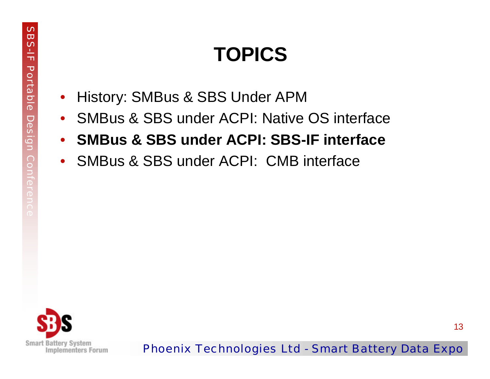- History: SMBus & SBS Under APM
- SMBus & SBS under ACPI: Native OS interface
- **SMBus & SBS under ACPI: SBS-IF interface**
- SMBus & SBS under ACPI: CMB interface

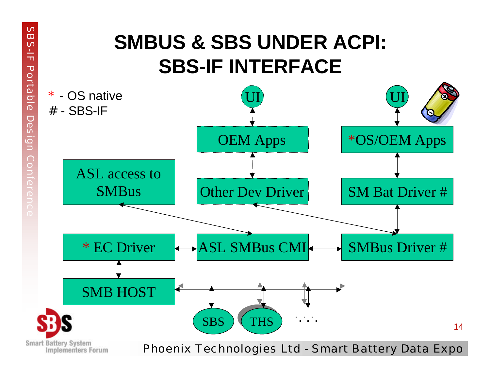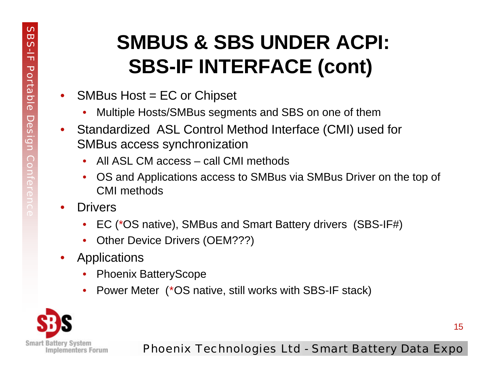#### **SMBUS & SBS UNDER ACPI: SBS-IF INTERFACE (cont)**

- SMBus Host = EC or Chipset
	- Multiple Hosts/SMBus segments and SBS on one of them
- Standardized ASL Control Method Interface (CMI) used for SMBus access synchronization
	- All ASL CM access call CMI methods
	- OS and Applications access to SMBus via SMBus Driver on the top of CMI methods
- Drivers
	- EC (\*OS native), SMBus and Smart Battery drivers (SBS-IF#)
	- Other Device Drivers (OEM???)
- Applications
	- Phoenix BatteryScope
	- Power Meter (\*OS native, still works with SBS-IF stack)

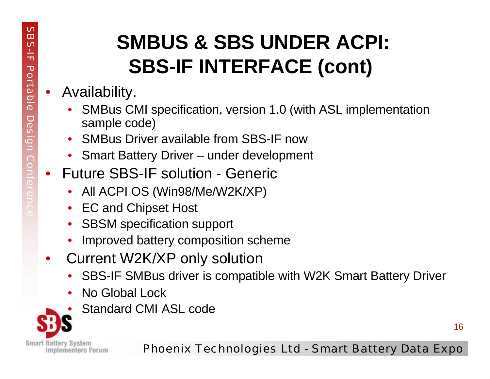# **SMBUS & SBS UNDER ACPI: SBS-IF INTERFACE (cont)**

#### • Availability.

- SMBus CMI specification, version 1.0 (with ASL implementation sample code)
- SMBus Driver available from SBS-IF now
- Smart Battery Driver under development
- Future SBS-IF solution Generic
	- All ACPI OS (Win98/Me/W2K/XP)
	- EC and Chipset Host
	- **SBSM specification support**
	- Improved battery composition scheme
- Current W2K/XP only solution
	- SBS-IF SMBus driver is compatible with W2K Smart Battery Driver
	- No Global Lock
	- Standard CMI ASL code

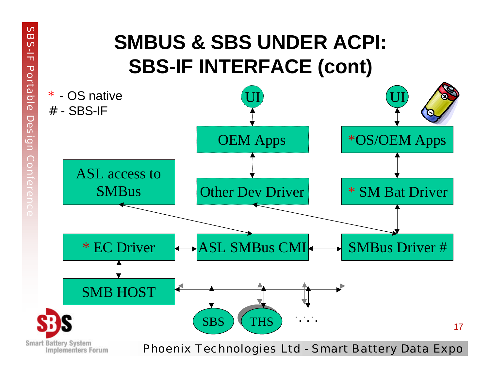#### **SMBUS & SBS UNDER ACPI: SBS-IF INTERFACE (cont)**

**SB** 

 $3 - 15$ 

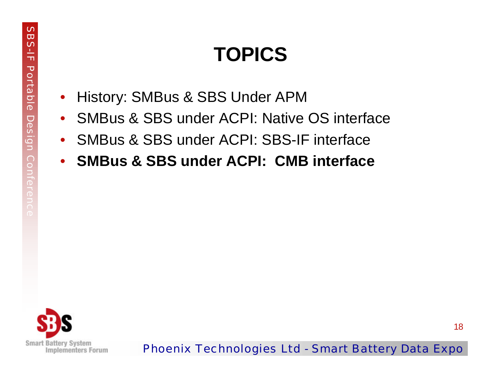- History: SMBus & SBS Under APM
- SMBus & SBS under ACPI: Native OS interface
- SMBus & SBS under ACPI: SBS-IF interface
- **SMBus & SBS under ACPI: CMB interface**

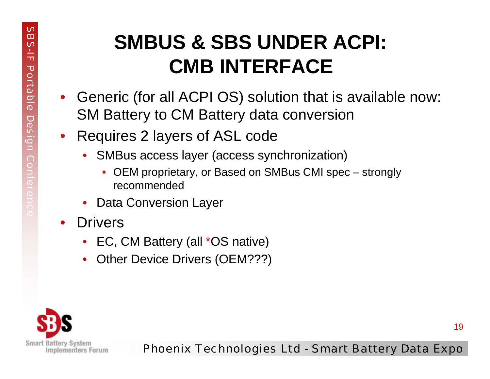#### **SMBUS & SBS UNDER ACPI: CMB INTERFACE**

- Generic (for all ACPI OS) solution that is available now: SM Battery to CM Battery data conversion
- Requires 2 layers of ASL code
	- SMBus access layer (access synchronization)
		- OEM proprietary, or Based on SMBus CMI spec strongly recommended
	- Data Conversion Layer
- Drivers
	- EC, CM Battery (all \*OS native)
	- Other Device Drivers (OEM???)



Phoenix Technologies Ltd - Smart Battery Data Expo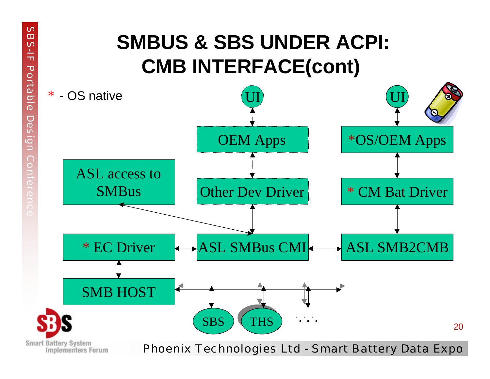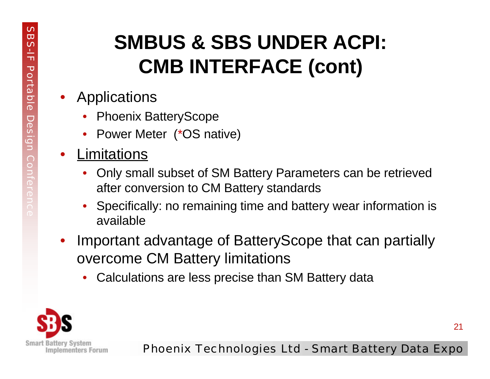## **SMBUS & SBS UNDER ACPI: CMB INTERFACE (cont)**

- Applications
	- Phoenix BatteryScope
	- Power Meter (\*OS native)
- Limitations
	- Only small subset of SM Battery Parameters can be retrieved after conversion to CM Battery standards
	- Specifically: no remaining time and battery wear information is available
- Important advantage of BatteryScope that can partially overcome CM Battery limitations
	- Calculations are less precise than SM Battery data